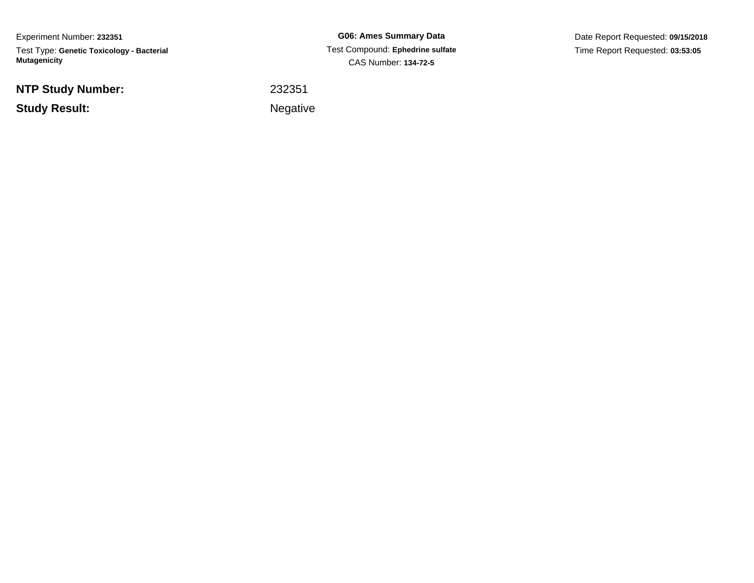Experiment Number: **232351**Test Type: **Genetic Toxicology - Bacterial Mutagenicity**

**NTP Study Number:**

**Study Result:**

**G06: Ames Summary Data** Test Compound: **Ephedrine sulfate**CAS Number: **134-72-5**

Date Report Requested: **09/15/2018**Time Report Requested: **03:53:05**

<sup>232351</sup>

Negative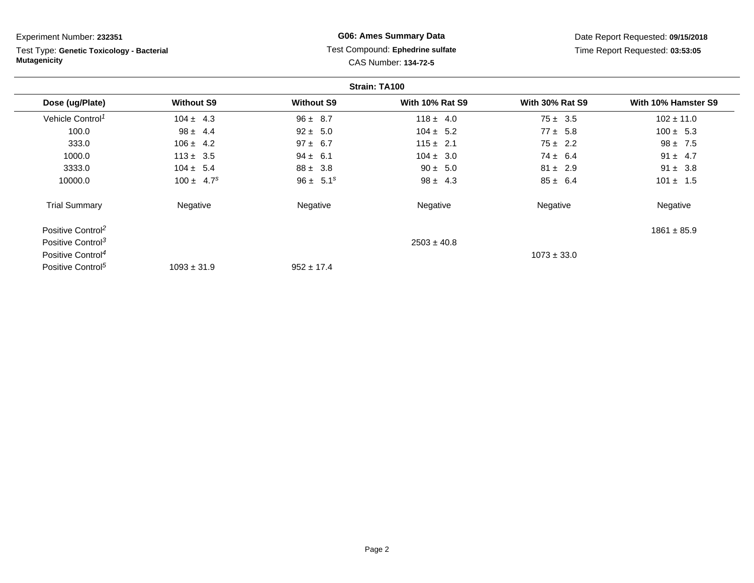| Experiment Number: 232351                                        |                   |                   | <b>G06: Ames Summary Data</b>                            |                        | Date Report Requested: 09/15/2018 |
|------------------------------------------------------------------|-------------------|-------------------|----------------------------------------------------------|------------------------|-----------------------------------|
| Test Type: Genetic Toxicology - Bacterial<br><b>Mutagenicity</b> |                   |                   | Test Compound: Ephedrine sulfate<br>CAS Number: 134-72-5 |                        | Time Report Requested: 03:53:05   |
|                                                                  |                   |                   | Strain: TA100                                            |                        |                                   |
| Dose (ug/Plate)                                                  | <b>Without S9</b> | <b>Without S9</b> | <b>With 10% Rat S9</b>                                   | <b>With 30% Rat S9</b> | With 10% Hamster S9               |
| Vehicle Control <sup>1</sup>                                     | $104 \pm 4.3$     | $96 \pm 8.7$      | $118 \pm 4.0$                                            | $75 \pm 3.5$           | $102 \pm 11.0$                    |
| 100.0                                                            | $98 \pm 4.4$      | $92 \pm 5.0$      | $104 \pm 5.2$                                            | $77 \pm 5.8$           | $100 \pm 5.3$                     |
| 333.0                                                            | $106 \pm 4.2$     | $97 \pm 6.7$      | $115 \pm 2.1$                                            | $75 \pm 2.2$           | $98 \pm 7.5$                      |
| 1000.0                                                           | $113 \pm 3.5$     | $94 \pm 6.1$      | $104 \pm 3.0$                                            | $74 \pm 6.4$           | $91 \pm 4.7$                      |
| 3333.0                                                           | $104 \pm 5.4$     | $88 \pm 3.8$      | $90 \pm 5.0$                                             | $81 \pm 2.9$           | $91 \pm 3.8$                      |
| 10000.0                                                          | $100 \pm 4.7^s$   | $96 \pm 5.1^s$    | $98 \pm 4.3$                                             | $85 \pm 6.4$           | $101 \pm 1.5$                     |
| <b>Trial Summary</b>                                             | Negative          | Negative          | Negative                                                 | Negative               | Negative                          |
| Positive Control <sup>2</sup>                                    |                   |                   |                                                          |                        | $1861 \pm 85.9$                   |
| Positive Control <sup>3</sup>                                    |                   |                   | $2503 \pm 40.8$                                          |                        |                                   |
| Positive Control <sup>4</sup>                                    |                   |                   |                                                          | $1073 \pm 33.0$        |                                   |
| Positive Control <sup>5</sup>                                    | $1093 \pm 31.9$   | $952 \pm 17.4$    |                                                          |                        |                                   |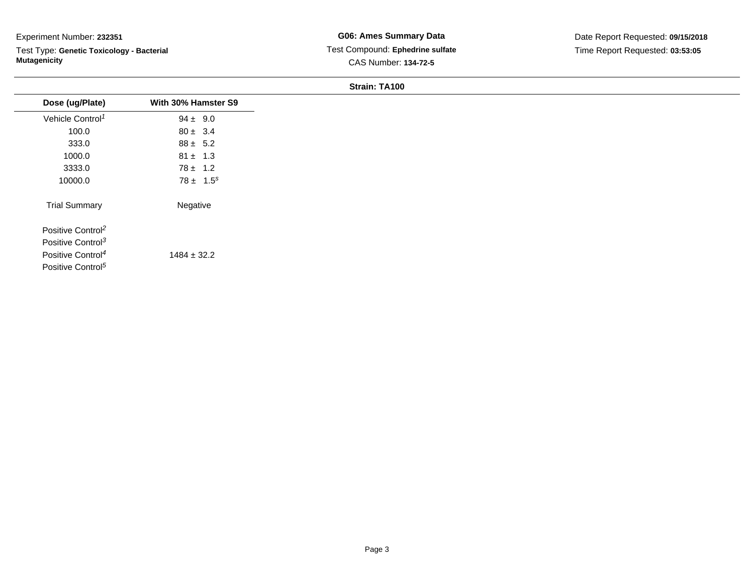Test Type: **Genetic Toxicology - Bacterial Mutagenicity**

| Dose (ug/Plate)               | With 30% Hamster S9 |
|-------------------------------|---------------------|
| Vehicle Control <sup>1</sup>  | $94 \pm 9.0$        |
| 100.0                         | $80 \pm 3.4$        |
| 333.0                         | $88 \pm 5.2$        |
| 1000.0                        | $81 \pm 1.3$        |
| 3333.0                        | $78 \pm 1.2$        |
| 10000.0                       | $78 \pm 1.5^s$      |
| <b>Trial Summary</b>          | Negative            |
| Positive Control <sup>2</sup> |                     |
| Positive Control <sup>3</sup> |                     |
| Positive Control <sup>4</sup> | $1484 \pm 32.2$     |
| Positive Control <sup>5</sup> |                     |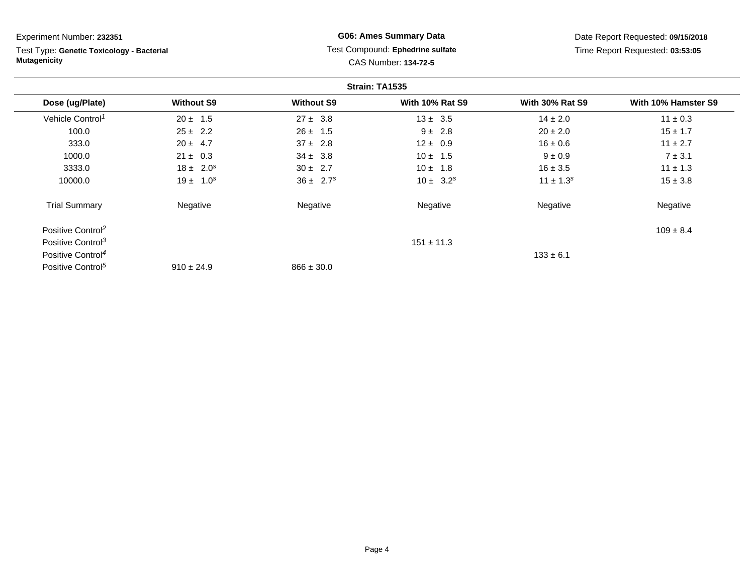| Experiment Number: 232351                                        |                   |                   | <b>G06: Ames Summary Data</b>                            |                        | Date Report Requested: 09/15/2018 |
|------------------------------------------------------------------|-------------------|-------------------|----------------------------------------------------------|------------------------|-----------------------------------|
| Test Type: Genetic Toxicology - Bacterial<br><b>Mutagenicity</b> |                   |                   | Test Compound: Ephedrine sulfate<br>CAS Number: 134-72-5 |                        | Time Report Requested: 03:53:05   |
|                                                                  |                   |                   | Strain: TA1535                                           |                        |                                   |
| Dose (ug/Plate)                                                  | <b>Without S9</b> | <b>Without S9</b> | <b>With 10% Rat S9</b>                                   | <b>With 30% Rat S9</b> | With 10% Hamster S9               |
| Vehicle Control <sup>1</sup>                                     | $20 \pm 1.5$      | $27 \pm 3.8$      | $13 \pm 3.5$                                             | $14 \pm 2.0$           | $11 \pm 0.3$                      |
| 100.0                                                            | $25 \pm 2.2$      | $26 \pm 1.5$      | $9 \pm 2.8$                                              | $20 \pm 2.0$           | $15 \pm 1.7$                      |
| 333.0                                                            | $20 \pm 4.7$      | $37 \pm 2.8$      | $12 \pm 0.9$                                             | $16 \pm 0.6$           | $11 \pm 2.7$                      |
| 1000.0                                                           | $21 \pm 0.3$      | $34 \pm 3.8$      | $10 \pm 1.5$                                             | $9 \pm 0.9$            | $7 \pm 3.1$                       |
| 3333.0                                                           | $18 \pm 2.0^s$    | $30 \pm 2.7$      | $10 \pm 1.8$                                             | $16 \pm 3.5$           | $11 \pm 1.3$                      |
| 10000.0                                                          | $19 \pm 1.0^s$    | $36 \pm 2.7^s$    | $10 \pm 3.2^s$                                           | $11 \pm 1.3^s$         | $15 \pm 3.8$                      |
| <b>Trial Summary</b>                                             | Negative          | Negative          | Negative                                                 | Negative               | Negative                          |
| Positive Control <sup>2</sup>                                    |                   |                   |                                                          |                        | $109 \pm 8.4$                     |
| Positive Control <sup>3</sup>                                    |                   |                   | $151 \pm 11.3$                                           |                        |                                   |
| Positive Control <sup>4</sup>                                    |                   |                   |                                                          | $133 \pm 6.1$          |                                   |
| Positive Control <sup>5</sup>                                    | $910 \pm 24.9$    | $866 \pm 30.0$    |                                                          |                        |                                   |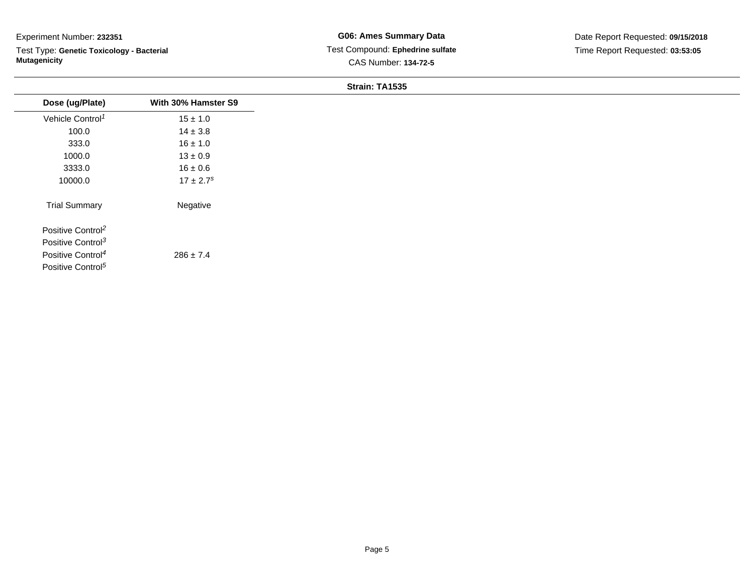Test Type: **Genetic Toxicology - Bacterial Mutagenicity**

| Dose (ug/Plate)               | With 30% Hamster S9       |
|-------------------------------|---------------------------|
| Vehicle Control <sup>1</sup>  | $15 \pm 1.0$              |
| 100.0                         | $14 \pm 3.8$              |
| 333.0                         | $16 \pm 1.0$              |
| 1000.0                        | $13 \pm 0.9$              |
| 3333.0                        | $16 \pm 0.6$              |
| 10000.0                       | $17 \pm 2.7$ <sup>s</sup> |
| <b>Trial Summary</b>          | Negative                  |
| Positive Control <sup>2</sup> |                           |
| Positive Control <sup>3</sup> |                           |
| Positive Control <sup>4</sup> | $286 \pm 7.4$             |
| Positive Control <sup>5</sup> |                           |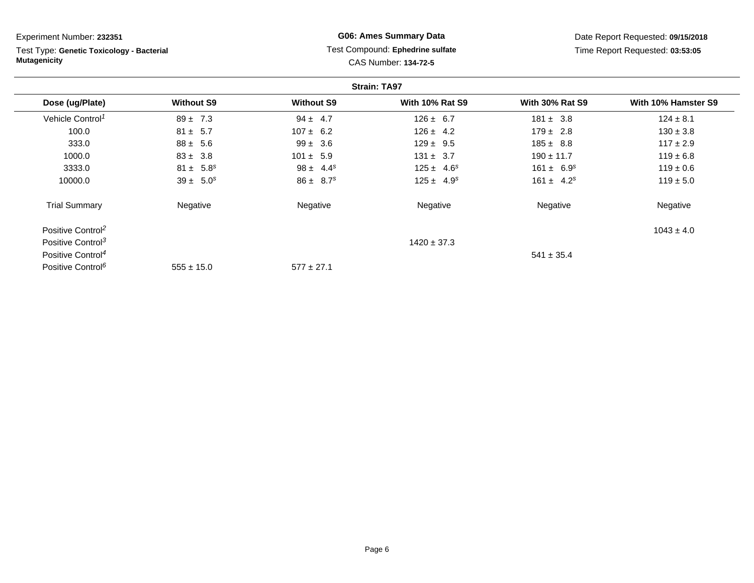| Experiment Number: 232351                                        |                   |                   | <b>G06: Ames Summary Data</b>                            |                        | Date Report Requested: 09/15/2018 |
|------------------------------------------------------------------|-------------------|-------------------|----------------------------------------------------------|------------------------|-----------------------------------|
| Test Type: Genetic Toxicology - Bacterial<br><b>Mutagenicity</b> |                   |                   | Test Compound: Ephedrine sulfate<br>CAS Number: 134-72-5 |                        | Time Report Requested: 03:53:05   |
|                                                                  |                   |                   | <b>Strain: TA97</b>                                      |                        |                                   |
| Dose (ug/Plate)                                                  | <b>Without S9</b> | <b>Without S9</b> | <b>With 10% Rat S9</b>                                   | <b>With 30% Rat S9</b> | With 10% Hamster S9               |
| Vehicle Control <sup>1</sup>                                     | $89 \pm 7.3$      | $94 \pm 4.7$      | $126 \pm 6.7$                                            | $181 \pm 3.8$          | $124 \pm 8.1$                     |
| 100.0                                                            | $81 \pm 5.7$      | $107 \pm 6.2$     | $126 \pm 4.2$                                            | $179 \pm 2.8$          | $130 \pm 3.8$                     |
| 333.0                                                            | $88 \pm 5.6$      | $99 \pm 3.6$      | $129 \pm 9.5$                                            | $185 \pm 8.8$          | $117 \pm 2.9$                     |
| 1000.0                                                           | $83 \pm 3.8$      | $101 \pm 5.9$     | $131 \pm 3.7$                                            | $190 \pm 11.7$         | $119 \pm 6.8$                     |
| 3333.0                                                           | $81 \pm 5.8^s$    | $98 \pm 4.4^s$    | $125 \pm 4.6^s$                                          | $161 \pm 6.9^s$        | $119 \pm 0.6$                     |
| 10000.0                                                          | $39 \pm 5.0^s$    | $86 \pm 8.7^s$    | $125 \pm 4.9^s$                                          | $161 \pm 4.2^s$        | $119 \pm 5.0$                     |
| <b>Trial Summary</b>                                             | Negative          | Negative          | Negative                                                 | Negative               | Negative                          |
| Positive Control <sup>2</sup>                                    |                   |                   |                                                          |                        | $1043 \pm 4.0$                    |
| Positive Control <sup>3</sup>                                    |                   |                   | $1420 \pm 37.3$                                          |                        |                                   |
| Positive Control <sup>4</sup>                                    |                   |                   |                                                          | $541 \pm 35.4$         |                                   |
| Positive Control <sup>6</sup>                                    | $555 \pm 15.0$    | $577 \pm 27.1$    |                                                          |                        |                                   |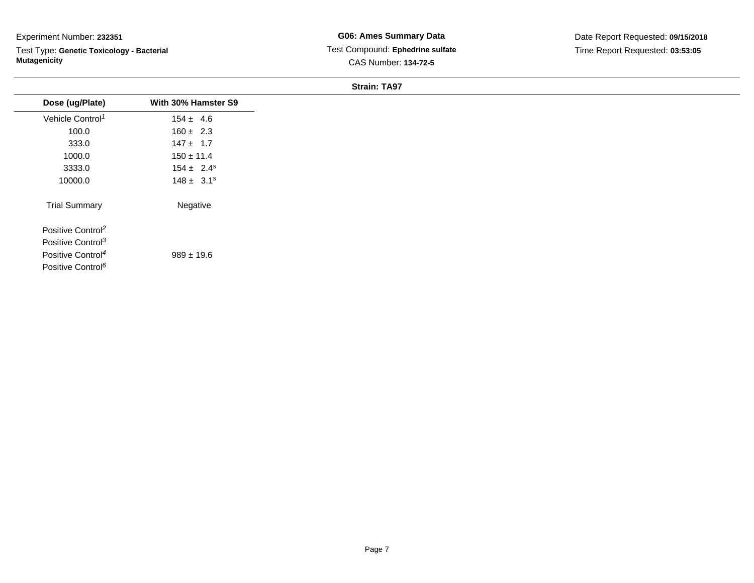Test Type: **Genetic Toxicology - Bacterial Mutagenicity**

**G06: Ames Summary Data** Test Compound: **Ephedrine sulfate**CAS Number: **134-72-5**

| Dose (ug/Plate)               | With 30% Hamster S9 |
|-------------------------------|---------------------|
| Vehicle Control <sup>1</sup>  | $154 \pm 4.6$       |
| 100.0                         | $160 \pm 2.3$       |
| 333.0                         | $147 \pm 1.7$       |
| 1000.0                        | $150 \pm 11.4$      |
| 3333.0                        | $154 \pm 2.4^s$     |
| 10000.0                       | $148 \pm 3.1^s$     |
| <b>Trial Summary</b>          | Negative            |
| Positive Control <sup>2</sup> |                     |
| Positive Control <sup>3</sup> |                     |
| Positive Control <sup>4</sup> | $989 \pm 19.6$      |
| Positive Control <sup>6</sup> |                     |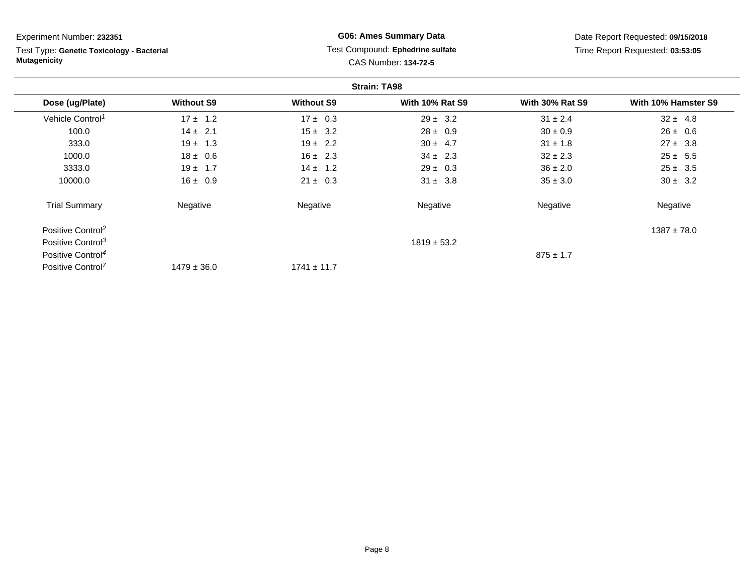| Experiment Number: 232351                                        |                   |                   | <b>G06: Ames Summary Data</b>                            |                        | Date Report Requested: 09/15/2018 |
|------------------------------------------------------------------|-------------------|-------------------|----------------------------------------------------------|------------------------|-----------------------------------|
| Test Type: Genetic Toxicology - Bacterial<br><b>Mutagenicity</b> |                   |                   | Test Compound: Ephedrine sulfate<br>CAS Number: 134-72-5 |                        | Time Report Requested: 03:53:05   |
|                                                                  |                   |                   | <b>Strain: TA98</b>                                      |                        |                                   |
| Dose (ug/Plate)                                                  | <b>Without S9</b> | <b>Without S9</b> | <b>With 10% Rat S9</b>                                   | <b>With 30% Rat S9</b> | With 10% Hamster S9               |
| Vehicle Control <sup>1</sup>                                     | $17 \pm 1.2$      | $17 \pm 0.3$      | $29 \pm 3.2$                                             | $31 \pm 2.4$           | $32 \pm 4.8$                      |
| 100.0                                                            | $14 \pm 2.1$      | $15 \pm 3.2$      | $28 \pm 0.9$                                             | $30 \pm 0.9$           | $26 \pm 0.6$                      |
| 333.0                                                            | $19 \pm 1.3$      | $19 \pm 2.2$      | $30 \pm 4.7$                                             | $31 \pm 1.8$           | $27 \pm 3.8$                      |
| 1000.0                                                           | $18 \pm 0.6$      | $16 \pm 2.3$      | $34 \pm 2.3$                                             | $32 \pm 2.3$           | $25 \pm 5.5$                      |
| 3333.0                                                           | $19 \pm 1.7$      | $14 \pm 1.2$      | $29 \pm 0.3$                                             | $36 \pm 2.0$           | $25 \pm 3.5$                      |
| 10000.0                                                          | $16 \pm 0.9$      | $21 \pm 0.3$      | $31 \pm 3.8$                                             | $35 \pm 3.0$           | $30 \pm 3.2$                      |
| <b>Trial Summary</b>                                             | Negative          | Negative          | Negative                                                 | Negative               | Negative                          |
| Positive Control <sup>2</sup>                                    |                   |                   |                                                          |                        | $1387 \pm 78.0$                   |
| Positive Control <sup>3</sup>                                    |                   |                   | $1819 \pm 53.2$                                          |                        |                                   |
| Positive Control <sup>4</sup>                                    |                   |                   |                                                          | $875 \pm 1.7$          |                                   |
| Positive Control <sup>7</sup>                                    | $1479 \pm 36.0$   | $1741 \pm 11.7$   |                                                          |                        |                                   |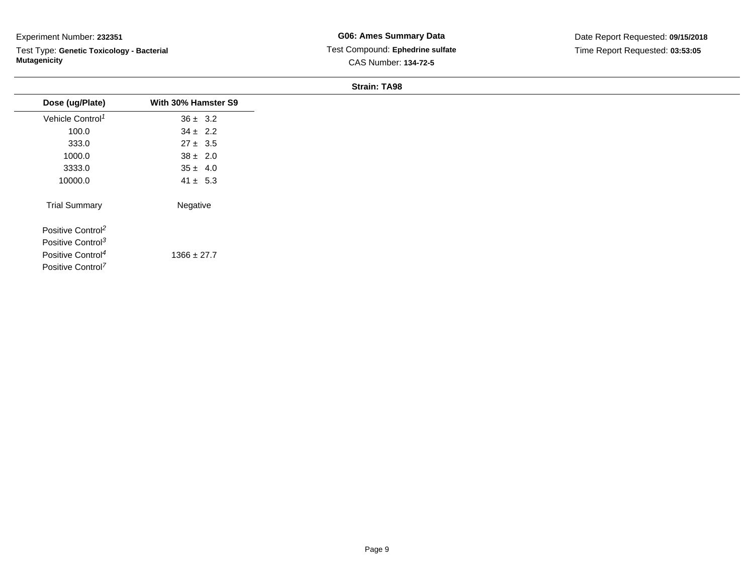Test Type: **Genetic Toxicology - Bacterial Mutagenicity**

| Dose (ug/Plate)               | With 30% Hamster S9 |
|-------------------------------|---------------------|
| Vehicle Control <sup>1</sup>  | $36 \pm 3.2$        |
| 100.0                         | $34 \pm 2.2$        |
| 333.0                         | $27 \pm 3.5$        |
| 1000.0                        | $38 \pm 2.0$        |
| 3333.0                        | $35 \pm 4.0$        |
| 10000.0                       | $41 \pm 5.3$        |
| <b>Trial Summary</b>          | Negative            |
| Positive Control <sup>2</sup> |                     |
| Positive Control <sup>3</sup> |                     |
| Positive Control <sup>4</sup> | $1366 \pm 27.7$     |
| Positive Control <sup>7</sup> |                     |